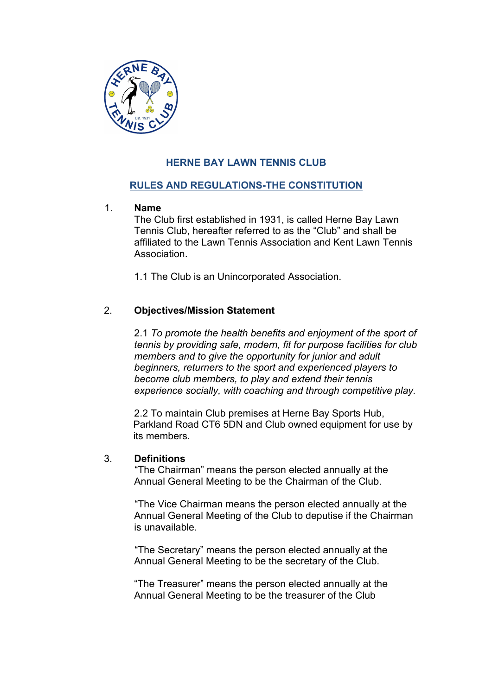

# **HERNE BAY LAWN TENNIS CLUB**

# **RULES AND REGULATIONS-THE CONSTITUTION**

### 1. **Name**

The Club first established in 1931, is called Herne Bay Lawn Tennis Club, hereafter referred to as the "Club" and shall be affiliated to the Lawn Tennis Association and Kent Lawn Tennis Association.

1.1 The Club is an Unincorporated Association.

# 2. **Objectives/Mission Statement**

2.1 *To promote the health benefits and enjoyment of the sport of tennis by providing safe, modern, fit for purpose facilities for club members and to give the opportunity for junior and adult beginners, returners to the sport and experienced players to become club members, to play and extend their tennis experience socially, with coaching and through competitive play.*

2.2 To maintain Club premises at Herne Bay Sports Hub, Parkland Road CT6 5DN and Club owned equipment for use by its members.

### 3. **Definitions**

"The Chairman" means the person elected annually at the Annual General Meeting to be the Chairman of the Club.

"The Vice Chairman means the person elected annually at the Annual General Meeting of the Club to deputise if the Chairman is unavailable.

"The Secretary" means the person elected annually at the Annual General Meeting to be the secretary of the Club.

"The Treasurer" means the person elected annually at the Annual General Meeting to be the treasurer of the Club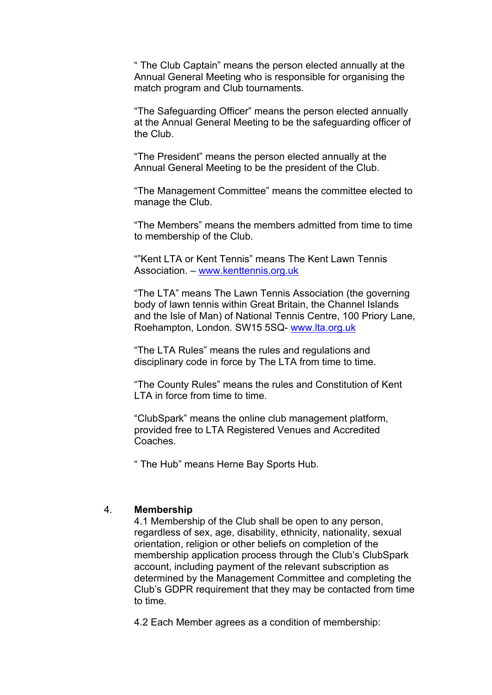" The Club Captain" means the person elected annually at the Annual General Meeting who is responsible for organising the match program and Club tournaments.

"The Safeguarding Officer" means the person elected annually at the Annual General Meeting to be the safeguarding officer of the Club.

"The President" means the person elected annually at the Annual General Meeting to be the president of the Club.

"The Management Committee" means the committee elected to manage the Club.

"The Members" means the members admitted from time to time to membership of the Club.

""Kent LTA or Kent Tennis" means The Kent Lawn Tennis Association. – www.kenttennis.org.uk

"The LTA" means The Lawn Tennis Association (the governing body of lawn tennis within Great Britain, the Channel Islands and the Isle of Man) of National Tennis Centre, 100 Priory Lane, Roehampton, London. SW15 5SQ- www.lta.org.uk

"The LTA Rules" means the rules and regulations and disciplinary code in force by The LTA from time to time.

"The County Rules" means the rules and Constitution of Kent LTA in force from time to time.

"ClubSpark" means the online club management platform, provided free to LTA Registered Venues and Accredited Coaches.

" The Hub" means Herne Bay Sports Hub.

#### 4. **Membership**

4.1 Membership of the Club shall be open to any person, regardless of sex, age, disability, ethnicity, nationality, sexual orientation, religion or other beliefs on completion of the membership application process through the Club's ClubSpark account, including payment of the relevant subscription as determined by the Management Committee and completing the Club's GDPR requirement that they may be contacted from time to time.

4.2 Each Member agrees as a condition of membership: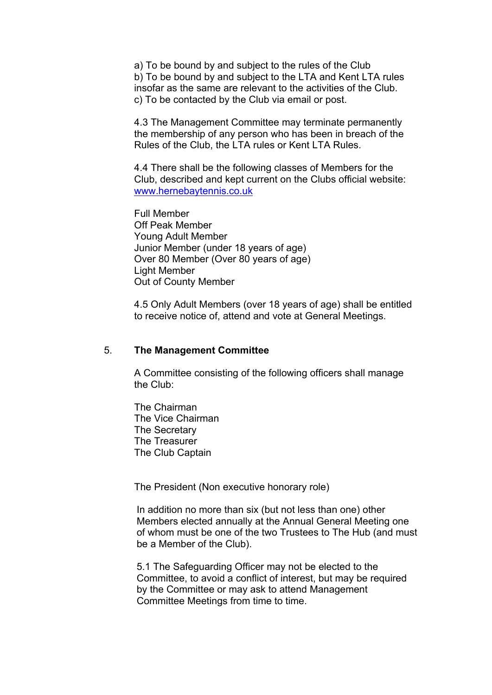a) To be bound by and subject to the rules of the Club b) To be bound by and subject to the LTA and Kent LTA rules insofar as the same are relevant to the activities of the Club. c) To be contacted by the Club via email or post.

4.3 The Management Committee may terminate permanently the membership of any person who has been in breach of the Rules of the Club, the LTA rules or Kent LTA Rules.

4.4 There shall be the following classes of Members for the Club, described and kept current on the Clubs official website: www.hernebaytennis.co.uk

Full Member Off Peak Member Young Adult Member Junior Member (under 18 years of age) Over 80 Member (Over 80 years of age) Light Member Out of County Member

4.5 Only Adult Members (over 18 years of age) shall be entitled to receive notice of, attend and vote at General Meetings.

#### 5. **The Management Committee**

A Committee consisting of the following officers shall manage the Club:

The Chairman The Vice Chairman The Secretary The Treasurer The Club Captain

The President (Non executive honorary role)

In addition no more than six (but not less than one) other Members elected annually at the Annual General Meeting one of whom must be one of the two Trustees to The Hub (and must be a Member of the Club).

5.1 The Safeguarding Officer may not be elected to the Committee, to avoid a conflict of interest, but may be required by the Committee or may ask to attend Management Committee Meetings from time to time.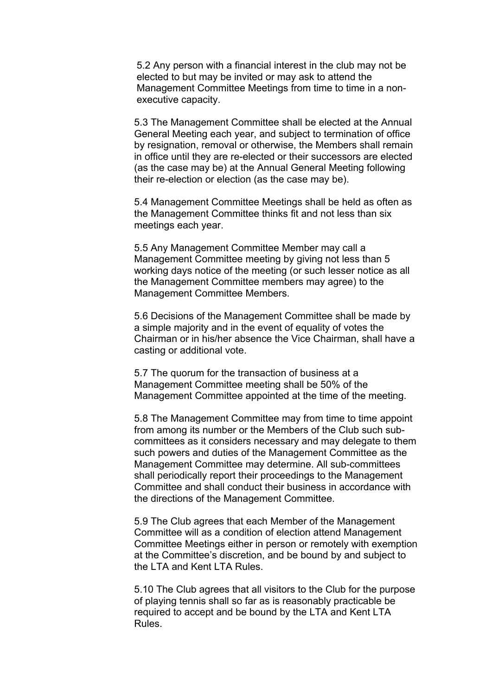5.2 Any person with a financial interest in the club may not be elected to but may be invited or may ask to attend the Management Committee Meetings from time to time in a nonexecutive capacity.

5.3 The Management Committee shall be elected at the Annual General Meeting each year, and subject to termination of office by resignation, removal or otherwise, the Members shall remain in office until they are re-elected or their successors are elected (as the case may be) at the Annual General Meeting following their re-election or election (as the case may be).

5.4 Management Committee Meetings shall be held as often as the Management Committee thinks fit and not less than six meetings each year.

5.5 Any Management Committee Member may call a Management Committee meeting by giving not less than 5 working days notice of the meeting (or such lesser notice as all the Management Committee members may agree) to the Management Committee Members.

5.6 Decisions of the Management Committee shall be made by a simple majority and in the event of equality of votes the Chairman or in his/her absence the Vice Chairman, shall have a casting or additional vote.

5.7 The quorum for the transaction of business at a Management Committee meeting shall be 50% of the Management Committee appointed at the time of the meeting.

5.8 The Management Committee may from time to time appoint from among its number or the Members of the Club such subcommittees as it considers necessary and may delegate to them such powers and duties of the Management Committee as the Management Committee may determine. All sub-committees shall periodically report their proceedings to the Management Committee and shall conduct their business in accordance with the directions of the Management Committee.

5.9 The Club agrees that each Member of the Management Committee will as a condition of election attend Management Committee Meetings either in person or remotely with exemption at the Committee's discretion, and be bound by and subject to the LTA and Kent LTA Rules.

5.10 The Club agrees that all visitors to the Club for the purpose of playing tennis shall so far as is reasonably practicable be required to accept and be bound by the LTA and Kent LTA Rules.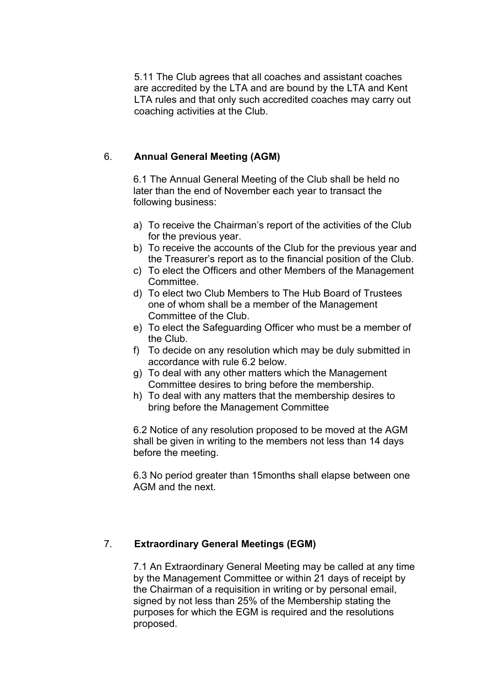5.11 The Club agrees that all coaches and assistant coaches are accredited by the LTA and are bound by the LTA and Kent LTA rules and that only such accredited coaches may carry out coaching activities at the Club.

## 6. **Annual General Meeting (AGM)**

6.1 The Annual General Meeting of the Club shall be held no later than the end of November each year to transact the following business:

- a) To receive the Chairman's report of the activities of the Club for the previous year.
- b) To receive the accounts of the Club for the previous year and the Treasurer's report as to the financial position of the Club.
- c) To elect the Officers and other Members of the Management Committee.
- d) To elect two Club Members to The Hub Board of Trustees one of whom shall be a member of the Management Committee of the Club.
- e) To elect the Safeguarding Officer who must be a member of the Club.
- f) To decide on any resolution which may be duly submitted in accordance with rule 6.2 below.
- g) To deal with any other matters which the Management Committee desires to bring before the membership.
- h) To deal with any matters that the membership desires to bring before the Management Committee

6.2 Notice of any resolution proposed to be moved at the AGM shall be given in writing to the members not less than 14 days before the meeting.

6.3 No period greater than 15months shall elapse between one AGM and the next.

### 7. **Extraordinary General Meetings (EGM)**

7.1 An Extraordinary General Meeting may be called at any time by the Management Committee or within 21 days of receipt by the Chairman of a requisition in writing or by personal email, signed by not less than 25% of the Membership stating the purposes for which the EGM is required and the resolutions proposed.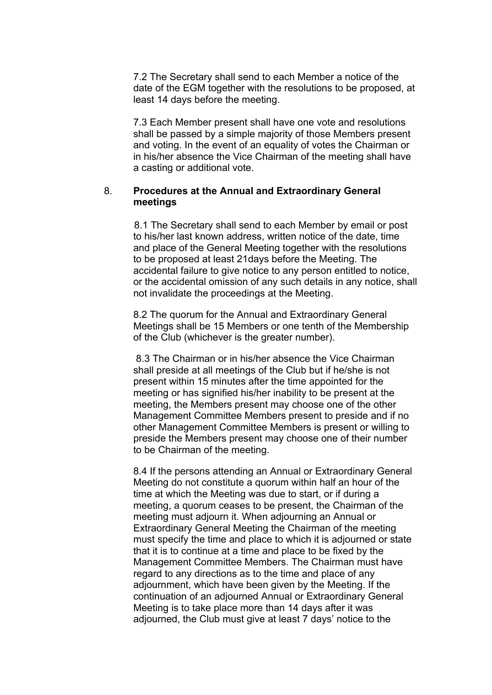7.2 The Secretary shall send to each Member a notice of the date of the EGM together with the resolutions to be proposed, at least 14 days before the meeting.

7.3 Each Member present shall have one vote and resolutions shall be passed by a simple majority of those Members present and voting. In the event of an equality of votes the Chairman or in his/her absence the Vice Chairman of the meeting shall have a casting or additional vote.

#### 8. **Procedures at the Annual and Extraordinary General meetings**

8.1 The Secretary shall send to each Member by email or post to his/her last known address, written notice of the date, time and place of the General Meeting together with the resolutions to be proposed at least 21days before the Meeting. The accidental failure to give notice to any person entitled to notice, or the accidental omission of any such details in any notice, shall not invalidate the proceedings at the Meeting.

8.2 The quorum for the Annual and Extraordinary General Meetings shall be 15 Members or one tenth of the Membership of the Club (whichever is the greater number).

8.3 The Chairman or in his/her absence the Vice Chairman shall preside at all meetings of the Club but if he/she is not present within 15 minutes after the time appointed for the meeting or has signified his/her inability to be present at the meeting, the Members present may choose one of the other Management Committee Members present to preside and if no other Management Committee Members is present or willing to preside the Members present may choose one of their number to be Chairman of the meeting.

8.4 If the persons attending an Annual or Extraordinary General Meeting do not constitute a quorum within half an hour of the time at which the Meeting was due to start, or if during a meeting, a quorum ceases to be present, the Chairman of the meeting must adjourn it. When adjourning an Annual or Extraordinary General Meeting the Chairman of the meeting must specify the time and place to which it is adjourned or state that it is to continue at a time and place to be fixed by the Management Committee Members. The Chairman must have regard to any directions as to the time and place of any adjournment, which have been given by the Meeting. If the continuation of an adjourned Annual or Extraordinary General Meeting is to take place more than 14 days after it was adjourned, the Club must give at least 7 days' notice to the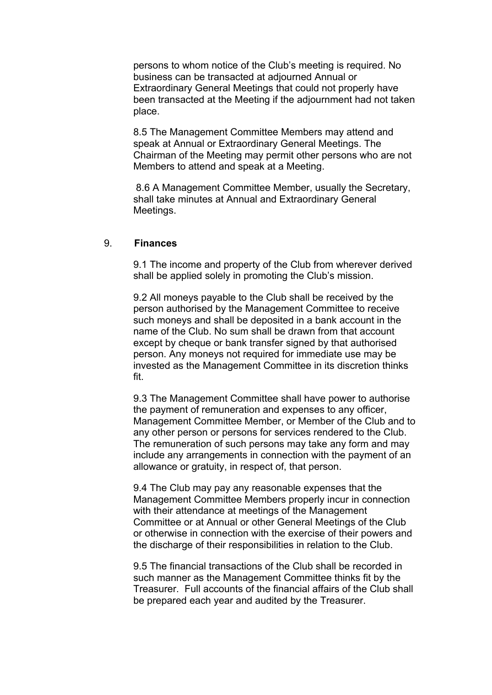persons to whom notice of the Club's meeting is required. No business can be transacted at adjourned Annual or Extraordinary General Meetings that could not properly have been transacted at the Meeting if the adjournment had not taken place.

8.5 The Management Committee Members may attend and speak at Annual or Extraordinary General Meetings. The Chairman of the Meeting may permit other persons who are not Members to attend and speak at a Meeting.

8.6 A Management Committee Member, usually the Secretary, shall take minutes at Annual and Extraordinary General Meetings.

#### 9. **Finances**

9.1 The income and property of the Club from wherever derived shall be applied solely in promoting the Club's mission.

9.2 All moneys payable to the Club shall be received by the person authorised by the Management Committee to receive such moneys and shall be deposited in a bank account in the name of the Club. No sum shall be drawn from that account except by cheque or bank transfer signed by that authorised person. Any moneys not required for immediate use may be invested as the Management Committee in its discretion thinks fit.

9.3 The Management Committee shall have power to authorise the payment of remuneration and expenses to any officer, Management Committee Member, or Member of the Club and to any other person or persons for services rendered to the Club. The remuneration of such persons may take any form and may include any arrangements in connection with the payment of an allowance or gratuity, in respect of, that person.

9.4 The Club may pay any reasonable expenses that the Management Committee Members properly incur in connection with their attendance at meetings of the Management Committee or at Annual or other General Meetings of the Club or otherwise in connection with the exercise of their powers and the discharge of their responsibilities in relation to the Club.

9.5 The financial transactions of the Club shall be recorded in such manner as the Management Committee thinks fit by the Treasurer. Full accounts of the financial affairs of the Club shall be prepared each year and audited by the Treasurer.